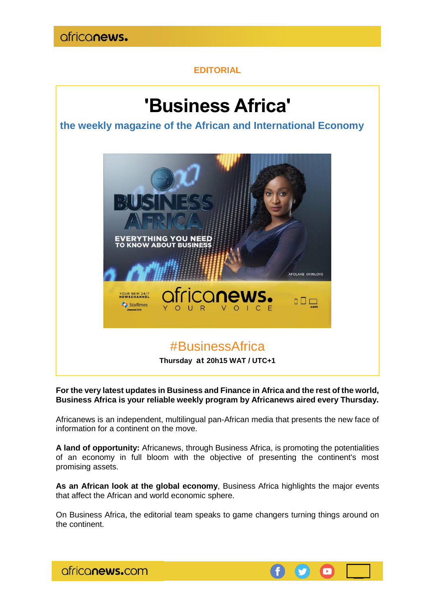

### **EDITORIAL**

# **'Business Africa'**

**the weekly magazine of the African and International Economy**



**For the very latest updates in Business and Finance in Africa and the rest of the world, Business Africa is your reliable weekly program by Africanews aired every Thursday.**

Africanews is an independent, multilingual pan-African media that presents the new face of information for a continent on the move.

**A land of opportunity:** Africanews, through Business Africa, is promoting the potentialities of an economy in full bloom with the objective of presenting the continent's most promising assets.

**As an African look at the global economy**, Business Africa highlights the major events that affect the African and world economic sphere.

On Business Africa, the editorial team speaks to game changers turning things around on the continent.



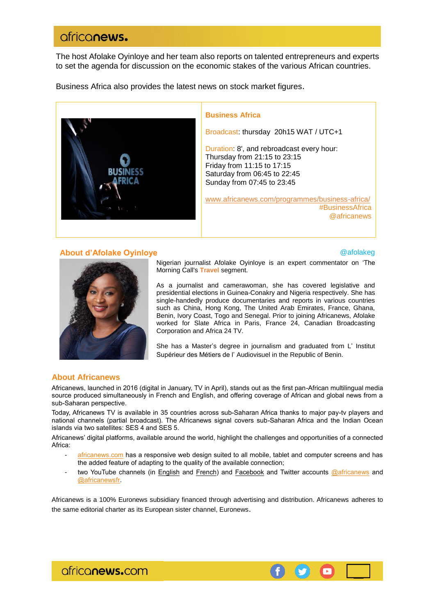## ofriconews.

The host Afolake Oyinloye and her team also reports on talented entrepreneurs and experts to set the agenda for discussion on the economic stakes of the various African countries.

Business Africa also provides the latest news on stock market figures.



#### **Business Africa**

Broadcast: thursday 20h15 WAT / UTC+1

Duration: 8', and rebroadcast every hour: Thursday from 21:15 to 23:15 Friday from 11:15 to 17:15 Saturday from 06:45 to 22:45 Sunday from 07:45 to 23:45

[www.africanews.com/programmes/business-africa/](http://www.africanews.com/programmes/business-africa/) [#B](https://twitter.com/hashtag/TheMorningCall?src=hash)usinessAfrica [@africanews](https://twitter.com/africanewsfr)

#### **About d'Afolake Oyinloye and a following the contract of the contract of the contract of the contract of the contract of the contract of the contract of the contract of the contract of the contract of the contract of th**

 $\blacksquare$ 



As a journalist and camerawoman, she has covered legislative and presidential elections in Guinea-Conakry and Nigeria respectively. She has single-handedly produce documentaries and reports in various countries such as China, Hong Kong, The United Arab Emirates, France, Ghana, Benin, Ivory Coast, Togo and Senegal. Prior to joining Africanews, Afolake worked for Slate Africa in Paris, France 24, Canadian Broadcasting Corporation and Africa 24 TV.

She has a Master's degree in journalism and graduated from L' Institut Supérieur des Métiers de l' Audiovisuel in the Republic of Benin.

#### **About Africanews**

Africanews, launched in 2016 (digital in January, TV in April), stands out as the first pan-African multilingual media source produced simultaneously in French and English, and offering coverage of African and global news from a sub-Saharan perspective.

Today, Africanews TV is available in 35 countries across sub-Saharan Africa thanks to major pay-tv players and national channels (partial broadcast). The Africanews signal covers sub-Saharan Africa and the Indian Ocean islands via two satellites: SES 4 and SES 5.

Africanews' digital platforms, available around the world, highlight the challenges and opportunities of a connected Africa:

- [africanews.com](http://www.africanews.com/) has a responsive web design suited to all mobile, tablet and computer screens and has the added feature of adapting to the quality of the available connection;
- two YouTube channels (in [English](https://www.youtube.com/africanews) and [French\)](https://www.youtube.com/africanewsfr) and [Facebook](https://www.facebook.com/africanews.channel/) and Twitter accounts [@africanews](https://twitter.com/africanews) and [@africanewsfr.](https://twitter.com/africanewsfr)

Africanews is a 100% Euronews subsidiary financed through advertising and distribution. Africanews adheres to the same editorial charter as its European sister channel, Euronews.